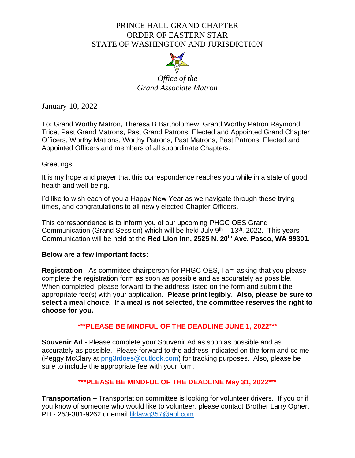# PRINCE HALL GRAND CHAPTER ORDER OF EASTERN STAR STATE OF WASHINGTON AND JURISDICTION



*Office of the Grand Associate Matron*

January 10, 2022

To: Grand Worthy Matron, Theresa B Bartholomew, Grand Worthy Patron Raymond Trice, Past Grand Matrons, Past Grand Patrons, Elected and Appointed Grand Chapter Officers, Worthy Matrons, Worthy Patrons, Past Matrons, Past Patrons, Elected and Appointed Officers and members of all subordinate Chapters.

## Greetings.

It is my hope and prayer that this correspondence reaches you while in a state of good health and well-being.

I'd like to wish each of you a Happy New Year as we navigate through these trying times, and congratulations to all newly elected Chapter Officers.

This correspondence is to inform you of our upcoming PHGC OES Grand Communication (Grand Session) which will be held July  $9<sup>th</sup> - 13<sup>th</sup>$ , 2022. This years Communication will be held at the **Red Lion Inn, 2525 N. 20th Ave. Pasco, WA 99301.**

## **Below are a few important facts**:

**Registration** - As committee chairperson for PHGC OES, I am asking that you please complete the registration form as soon as possible and as accurately as possible. When completed, please forward to the address listed on the form and submit the appropriate fee(s) with your application. **Please print legibly**. **Also, please be sure to select a meal choice. If a meal is not selected, the committee reserves the right to choose for you.** 

## **\*\*\*PLEASE BE MINDFUL OF THE DEADLINE JUNE 1, 2022\*\*\***

**Souvenir Ad -** Please complete your Souvenir Ad as soon as possible and as accurately as possible. Please forward to the address indicated on the form and cc me (Peggy McClary at [png3rdoes@outlook.com\)](mailto:png3rdoes@outlook.com) for tracking purposes. Also, please be sure to include the appropriate fee with your form.

## **\*\*\*PLEASE BE MINDFUL OF THE DEADLINE May 31, 2022\*\*\***

**Transportation –** Transportation committee is looking for volunteer drivers. If you or if you know of someone who would like to volunteer, please contact Brother Larry Opher, PH - 253-381-9262 or email [lildawg357@aol.com](mailto:lildawg357@aol.com)